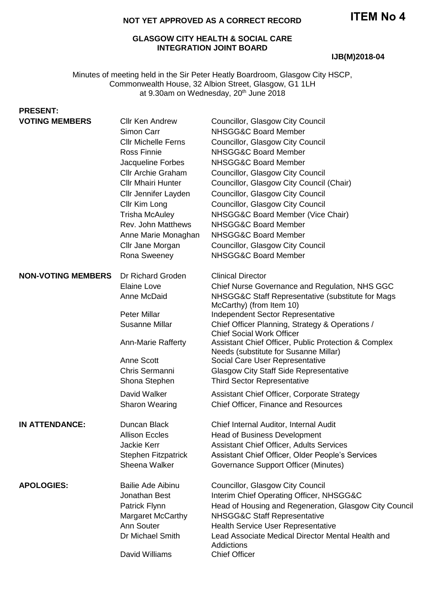#### **NOT YET APPROVED AS A CORRECT RECORD**

#### **GLASGOW CITY HEALTH & SOCIAL CARE INTEGRATION JOINT BOARD**

#### **IJB(M)2018-04**

Minutes of meeting held in the Sir Peter Heatly Boardroom, Glasgow City HSCP, Commonwealth House, 32 Albion Street, Glasgow, G1 1LH at 9.30am on Wednesday, 20<sup>th</sup> June 2018

# **PRESENT:**

| Chief Nurse Governance and Regulation, NHS GGC<br>NHSGG&C Staff Representative (substitute for Mags         |
|-------------------------------------------------------------------------------------------------------------|
|                                                                                                             |
| Assistant Chief Officer, Public Protection & Complex                                                        |
|                                                                                                             |
|                                                                                                             |
| Head of Housing and Regeneration, Glasgow City Council<br>Lead Associate Medical Director Mental Health and |
|                                                                                                             |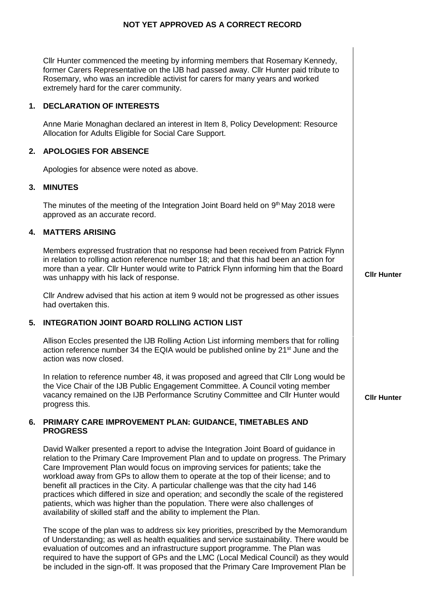| Cllr Hunter commenced the meeting by informing members that Rosemary Kennedy,<br>former Carers Representative on the IJB had passed away. Cllr Hunter paid tribute to<br>Rosemary, who was an incredible activist for carers for many years and worked<br>extremely hard for the carer community. |
|---------------------------------------------------------------------------------------------------------------------------------------------------------------------------------------------------------------------------------------------------------------------------------------------------|
|---------------------------------------------------------------------------------------------------------------------------------------------------------------------------------------------------------------------------------------------------------------------------------------------------|

## **1. DECLARATION OF INTERESTS**

Anne Marie Monaghan declared an interest in Item 8, Policy Development: Resource Allocation for Adults Eligible for Social Care Support.

## **2. APOLOGIES FOR ABSENCE**

Apologies for absence were noted as above.

## **3. MINUTES**

The minutes of the meeting of the Integration Joint Board held on  $9<sup>th</sup>$  May 2018 were approved as an accurate record.

## **4. MATTERS ARISING**

Members expressed frustration that no response had been received from Patrick Flynn in relation to rolling action reference number 18; and that this had been an action for more than a year. Cllr Hunter would write to Patrick Flynn informing him that the Board was unhappy with his lack of response.

Cllr Andrew advised that his action at item 9 would not be progressed as other issues had overtaken this.

# **5. INTEGRATION JOINT BOARD ROLLING ACTION LIST**

Allison Eccles presented the IJB Rolling Action List informing members that for rolling action reference number 34 the EQIA would be published online by 21<sup>st</sup> June and the action was now closed.

In relation to reference number 48, it was proposed and agreed that Cllr Long would be the Vice Chair of the IJB Public Engagement Committee. A Council voting member vacancy remained on the IJB Performance Scrutiny Committee and Cllr Hunter would progress this.

#### **6. PRIMARY CARE IMPROVEMENT PLAN: GUIDANCE, TIMETABLES AND PROGRESS**

David Walker presented a report to advise the Integration Joint Board of guidance in relation to the Primary Care Improvement Plan and to update on progress. The Primary Care Improvement Plan would focus on improving services for patients; take the workload away from GPs to allow them to operate at the top of their license; and to benefit all practices in the City. A particular challenge was that the city had 146 practices which differed in size and operation; and secondly the scale of the registered patients, which was higher than the population. There were also challenges of availability of skilled staff and the ability to implement the Plan.

The scope of the plan was to address six key priorities, prescribed by the Memorandum of Understanding; as well as health equalities and service sustainability. There would be evaluation of outcomes and an infrastructure support programme. The Plan was required to have the support of GPs and the LMC (Local Medical Council) as they would be included in the sign-off. It was proposed that the Primary Care Improvement Plan be

**Cllr Hunter**

 $\overline{1}$ 

**Cllr Hunter**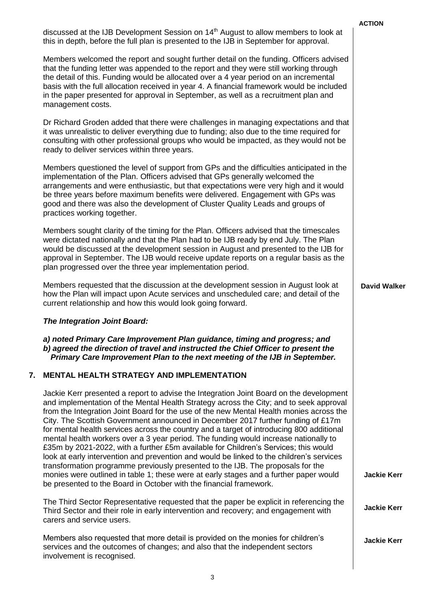|    |                                                                                                                                                                                                                                                                                                                                                                                                                                                                                                                                                                                                                                                                                                                                                                                                                            | <b>ACTION</b>       |
|----|----------------------------------------------------------------------------------------------------------------------------------------------------------------------------------------------------------------------------------------------------------------------------------------------------------------------------------------------------------------------------------------------------------------------------------------------------------------------------------------------------------------------------------------------------------------------------------------------------------------------------------------------------------------------------------------------------------------------------------------------------------------------------------------------------------------------------|---------------------|
|    | discussed at the IJB Development Session on 14 <sup>th</sup> August to allow members to look at<br>this in depth, before the full plan is presented to the IJB in September for approval.                                                                                                                                                                                                                                                                                                                                                                                                                                                                                                                                                                                                                                  |                     |
|    | Members welcomed the report and sought further detail on the funding. Officers advised<br>that the funding letter was appended to the report and they were still working through<br>the detail of this. Funding would be allocated over a 4 year period on an incremental<br>basis with the full allocation received in year 4. A financial framework would be included<br>in the paper presented for approval in September, as well as a recruitment plan and<br>management costs.                                                                                                                                                                                                                                                                                                                                        |                     |
|    | Dr Richard Groden added that there were challenges in managing expectations and that<br>it was unrealistic to deliver everything due to funding; also due to the time required for<br>consulting with other professional groups who would be impacted, as they would not be<br>ready to deliver services within three years.                                                                                                                                                                                                                                                                                                                                                                                                                                                                                               |                     |
|    | Members questioned the level of support from GPs and the difficulties anticipated in the<br>implementation of the Plan. Officers advised that GPs generally welcomed the<br>arrangements and were enthusiastic, but that expectations were very high and it would<br>be three years before maximum benefits were delivered. Engagement with GPs was<br>good and there was also the development of Cluster Quality Leads and groups of<br>practices working together.                                                                                                                                                                                                                                                                                                                                                       |                     |
|    | Members sought clarity of the timing for the Plan. Officers advised that the timescales<br>were dictated nationally and that the Plan had to be IJB ready by end July. The Plan<br>would be discussed at the development session in August and presented to the IJB for<br>approval in September. The IJB would receive update reports on a regular basis as the<br>plan progressed over the three year implementation period.                                                                                                                                                                                                                                                                                                                                                                                             |                     |
|    | Members requested that the discussion at the development session in August look at<br>how the Plan will impact upon Acute services and unscheduled care; and detail of the<br>current relationship and how this would look going forward.                                                                                                                                                                                                                                                                                                                                                                                                                                                                                                                                                                                  | <b>David Walker</b> |
|    | The Integration Joint Board:                                                                                                                                                                                                                                                                                                                                                                                                                                                                                                                                                                                                                                                                                                                                                                                               |                     |
|    | a) noted Primary Care Improvement Plan guidance, timing and progress; and<br>b) agreed the direction of travel and instructed the Chief Officer to present the<br>Primary Care Improvement Plan to the next meeting of the IJB in September.                                                                                                                                                                                                                                                                                                                                                                                                                                                                                                                                                                               |                     |
| 7. | <b>MENTAL HEALTH STRATEGY AND IMPLEMENTATION</b>                                                                                                                                                                                                                                                                                                                                                                                                                                                                                                                                                                                                                                                                                                                                                                           |                     |
|    | Jackie Kerr presented a report to advise the Integration Joint Board on the development<br>and implementation of the Mental Health Strategy across the City; and to seek approval<br>from the Integration Joint Board for the use of the new Mental Health monies across the<br>City. The Scottish Government announced in December 2017 further funding of £17m<br>for mental health services across the country and a target of introducing 800 additional<br>mental health workers over a 3 year period. The funding would increase nationally to<br>£35m by 2021-2022, with a further £5m available for Children's Services; this would<br>look at early intervention and prevention and would be linked to the children's services<br>transformation programme previously presented to the IJB. The proposals for the |                     |
|    | monies were outlined in table 1; these were at early stages and a further paper would<br>be presented to the Board in October with the financial framework.                                                                                                                                                                                                                                                                                                                                                                                                                                                                                                                                                                                                                                                                | <b>Jackie Kerr</b>  |
|    | The Third Sector Representative requested that the paper be explicit in referencing the<br>Third Sector and their role in early intervention and recovery; and engagement with<br>carers and service users.                                                                                                                                                                                                                                                                                                                                                                                                                                                                                                                                                                                                                | <b>Jackie Kerr</b>  |
|    | Members also requested that more detail is provided on the monies for children's<br>services and the outcomes of changes; and also that the independent sectors<br>involvement is recognised.                                                                                                                                                                                                                                                                                                                                                                                                                                                                                                                                                                                                                              | <b>Jackie Kerr</b>  |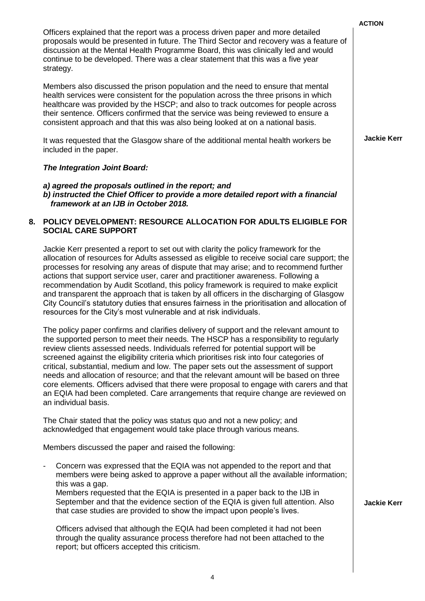| Officers explained that the report was a process driven paper and more detailed<br>proposals would be presented in future. The Third Sector and recovery was a feature of<br>discussion at the Mental Health Programme Board, this was clinically led and would<br>continue to be developed. There was a clear statement that this was a five year<br>strategy.                                                                       |
|---------------------------------------------------------------------------------------------------------------------------------------------------------------------------------------------------------------------------------------------------------------------------------------------------------------------------------------------------------------------------------------------------------------------------------------|
| Members also discussed the prison population and the need to ensure that mental<br>health services were consistent for the population across the three prisons in which<br>healthcare was provided by the HSCP; and also to track outcomes for people across<br>their sentence. Officers confirmed that the service was being reviewed to ensure a<br>consistent approach and that this was also being looked at on a national basis. |
| It was requested that the Glasgow share of the additional mental health workers be                                                                                                                                                                                                                                                                                                                                                    |

#### *The Integration Joint Board:*

included in the paper.

*a) agreed the proposals outlined in the report; and b) instructed the Chief Officer to provide a more detailed report with a financial framework at an IJB in October 2018.*

#### **8. POLICY DEVELOPMENT: RESOURCE ALLOCATION FOR ADULTS ELIGIBLE FOR SOCIAL CARE SUPPORT**

Jackie Kerr presented a report to set out with clarity the policy framework for the allocation of resources for Adults assessed as eligible to receive social care support; the processes for resolving any areas of dispute that may arise; and to recommend further actions that support service user, carer and practitioner awareness. Following a recommendation by Audit Scotland, this policy framework is required to make explicit and transparent the approach that is taken by all officers in the discharging of Glasgow City Council's statutory duties that ensures fairness in the prioritisation and allocation of resources for the City's most vulnerable and at risk individuals.

The policy paper confirms and clarifies delivery of support and the relevant amount to the supported person to meet their needs. The HSCP has a responsibility to regularly review clients assessed needs. Individuals referred for potential support will be screened against the eligibility criteria which prioritises risk into four categories of critical, substantial, medium and low. The paper sets out the assessment of support needs and allocation of resource; and that the relevant amount will be based on three core elements. Officers advised that there were proposal to engage with carers and that an EQIA had been completed. Care arrangements that require change are reviewed on an individual basis.

The Chair stated that the policy was status quo and not a new policy; and acknowledged that engagement would take place through various means.

Members discussed the paper and raised the following:

- Concern was expressed that the EQIA was not appended to the report and that members were being asked to approve a paper without all the available information; this was a gap.

Members requested that the EQIA is presented in a paper back to the IJB in September and that the evidence section of the EQIA is given full attention. Also that case studies are provided to show the impact upon people's lives.

Officers advised that although the EQIA had been completed it had not been through the quality assurance process therefore had not been attached to the report; but officers accepted this criticism.

**Jackie Kerr**

**ACTION**

**Jackie Kerr**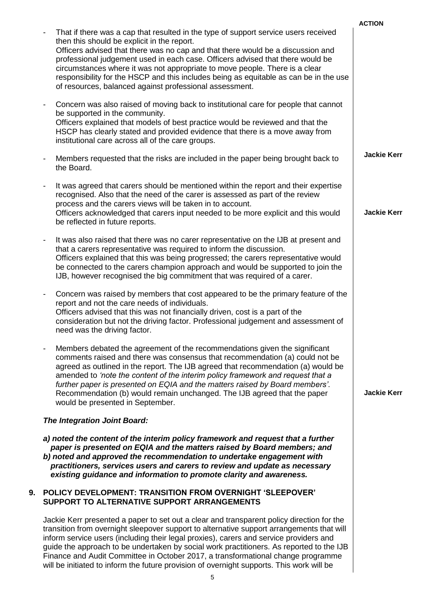|    |                                                                                                                                                                                                                                                                                                                                                                                                                                                                                                                                                               | <b>ACTION</b>      |
|----|---------------------------------------------------------------------------------------------------------------------------------------------------------------------------------------------------------------------------------------------------------------------------------------------------------------------------------------------------------------------------------------------------------------------------------------------------------------------------------------------------------------------------------------------------------------|--------------------|
|    | That if there was a cap that resulted in the type of support service users received<br>then this should be explicit in the report.<br>Officers advised that there was no cap and that there would be a discussion and<br>professional judgement used in each case. Officers advised that there would be<br>circumstances where it was not appropriate to move people. There is a clear<br>responsibility for the HSCP and this includes being as equitable as can be in the use<br>of resources, balanced against professional assessment.                    |                    |
|    | Concern was also raised of moving back to institutional care for people that cannot<br>be supported in the community.<br>Officers explained that models of best practice would be reviewed and that the<br>HSCP has clearly stated and provided evidence that there is a move away from<br>institutional care across all of the care groups.                                                                                                                                                                                                                  |                    |
|    | Members requested that the risks are included in the paper being brought back to<br>the Board.                                                                                                                                                                                                                                                                                                                                                                                                                                                                | <b>Jackie Kerr</b> |
|    | It was agreed that carers should be mentioned within the report and their expertise<br>recognised. Also that the need of the carer is assessed as part of the review<br>process and the carers views will be taken in to account.<br>Officers acknowledged that carers input needed to be more explicit and this would<br>be reflected in future reports.                                                                                                                                                                                                     | <b>Jackie Kerr</b> |
|    | It was also raised that there was no carer representative on the IJB at present and<br>that a carers representative was required to inform the discussion.<br>Officers explained that this was being progressed; the carers representative would<br>be connected to the carers champion approach and would be supported to join the<br>IJB, however recognised the big commitment that was required of a carer.                                                                                                                                               |                    |
|    | Concern was raised by members that cost appeared to be the primary feature of the<br>report and not the care needs of individuals.<br>Officers advised that this was not financially driven, cost is a part of the<br>consideration but not the driving factor. Professional judgement and assessment of<br>need was the driving factor.                                                                                                                                                                                                                      |                    |
|    | Members debated the agreement of the recommendations given the significant<br>comments raised and there was consensus that recommendation (a) could not be<br>agreed as outlined in the report. The IJB agreed that recommendation (a) would be<br>amended to 'note the content of the interim policy framework and request that a<br>further paper is presented on EQIA and the matters raised by Board members'.<br>Recommendation (b) would remain unchanged. The IJB agreed that the paper<br>would be presented in September.                            | <b>Jackie Kerr</b> |
|    | The Integration Joint Board:                                                                                                                                                                                                                                                                                                                                                                                                                                                                                                                                  |                    |
|    | a) noted the content of the interim policy framework and request that a further<br>paper is presented on EQIA and the matters raised by Board members; and<br>b) noted and approved the recommendation to undertake engagement with<br>practitioners, services users and carers to review and update as necessary<br>existing guidance and information to promote clarity and awareness.                                                                                                                                                                      |                    |
| 9. | POLICY DEVELOPMENT: TRANSITION FROM OVERNIGHT 'SLEEPOVER'<br>SUPPORT TO ALTERNATIVE SUPPORT ARRANGEMENTS                                                                                                                                                                                                                                                                                                                                                                                                                                                      |                    |
|    | Jackie Kerr presented a paper to set out a clear and transparent policy direction for the<br>transition from overnight sleepover support to alternative support arrangements that will<br>inform service users (including their legal proxies), carers and service providers and<br>guide the approach to be undertaken by social work practitioners. As reported to the IJB<br>Finance and Audit Committee in October 2017, a transformational change programme<br>will be initiated to inform the future provision of overnight supports. This work will be |                    |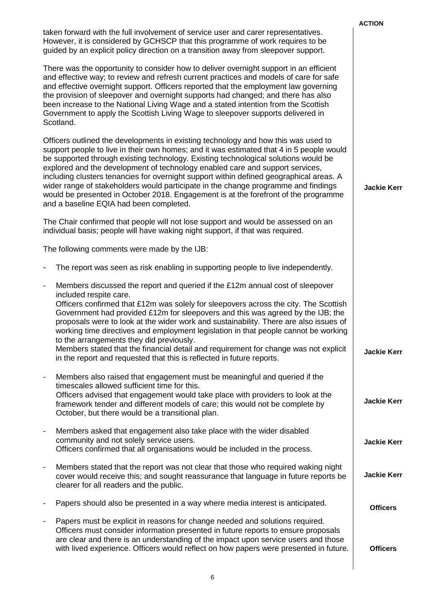|                                                                                                                                                                                                                                                                                                                                                                                                                                                                                                                                                                                                                                                                                                             | <b>ACTION</b>      |
|-------------------------------------------------------------------------------------------------------------------------------------------------------------------------------------------------------------------------------------------------------------------------------------------------------------------------------------------------------------------------------------------------------------------------------------------------------------------------------------------------------------------------------------------------------------------------------------------------------------------------------------------------------------------------------------------------------------|--------------------|
| taken forward with the full involvement of service user and carer representatives.<br>However, it is considered by GCHSCP that this programme of work requires to be<br>guided by an explicit policy direction on a transition away from sleepover support.                                                                                                                                                                                                                                                                                                                                                                                                                                                 |                    |
| There was the opportunity to consider how to deliver overnight support in an efficient<br>and effective way; to review and refresh current practices and models of care for safe<br>and effective overnight support. Officers reported that the employment law governing<br>the provision of sleepover and overnight supports had changed; and there has also<br>been increase to the National Living Wage and a stated intention from the Scottish<br>Government to apply the Scottish Living Wage to sleepover supports delivered in<br>Scotland.                                                                                                                                                         |                    |
| Officers outlined the developments in existing technology and how this was used to<br>support people to live in their own homes; and it was estimated that 4 in 5 people would<br>be supported through existing technology. Existing technological solutions would be<br>explored and the development of technology enabled care and support services,<br>including clusters tenancies for overnight support within defined geographical areas. A<br>wider range of stakeholders would participate in the change programme and findings<br>would be presented in October 2018. Engagement is at the forefront of the programme<br>and a baseline EQIA had been completed.                                   | <b>Jackie Kerr</b> |
| The Chair confirmed that people will not lose support and would be assessed on an<br>individual basis; people will have waking night support, if that was required.                                                                                                                                                                                                                                                                                                                                                                                                                                                                                                                                         |                    |
| The following comments were made by the IJB:                                                                                                                                                                                                                                                                                                                                                                                                                                                                                                                                                                                                                                                                |                    |
| The report was seen as risk enabling in supporting people to live independently.                                                                                                                                                                                                                                                                                                                                                                                                                                                                                                                                                                                                                            |                    |
| Members discussed the report and queried if the £12m annual cost of sleepover<br>$\overline{\phantom{a}}$<br>included respite care.<br>Officers confirmed that £12m was solely for sleepovers across the city. The Scottish<br>Government had provided £12m for sleepovers and this was agreed by the IJB; the<br>proposals were to look at the wider work and sustainability. There are also issues of<br>working time directives and employment legislation in that people cannot be working<br>to the arrangements they did previously.<br>Members stated that the financial detail and requirement for change was not explicit<br>in the report and requested that this is reflected in future reports. | <b>Jackie Kerr</b> |
| Members also raised that engagement must be meaningful and queried if the<br>timescales allowed sufficient time for this.<br>Officers advised that engagement would take place with providers to look at the<br>framework tender and different models of care; this would not be complete by<br>October, but there would be a transitional plan.                                                                                                                                                                                                                                                                                                                                                            | <b>Jackie Kerr</b> |
| Members asked that engagement also take place with the wider disabled<br>$\blacksquare$<br>community and not solely service users.<br>Officers confirmed that all organisations would be included in the process.                                                                                                                                                                                                                                                                                                                                                                                                                                                                                           | <b>Jackie Kerr</b> |
| Members stated that the report was not clear that those who required waking night<br>cover would receive this; and sought reassurance that language in future reports be<br>clearer for all readers and the public.                                                                                                                                                                                                                                                                                                                                                                                                                                                                                         | <b>Jackie Kerr</b> |
| Papers should also be presented in a way where media interest is anticipated.                                                                                                                                                                                                                                                                                                                                                                                                                                                                                                                                                                                                                               | <b>Officers</b>    |
| Papers must be explicit in reasons for change needed and solutions required.<br>$\overline{\phantom{a}}$<br>Officers must consider information presented in future reports to ensure proposals<br>are clear and there is an understanding of the impact upon service users and those<br>with lived experience. Officers would reflect on how papers were presented in future.                                                                                                                                                                                                                                                                                                                               | <b>Officers</b>    |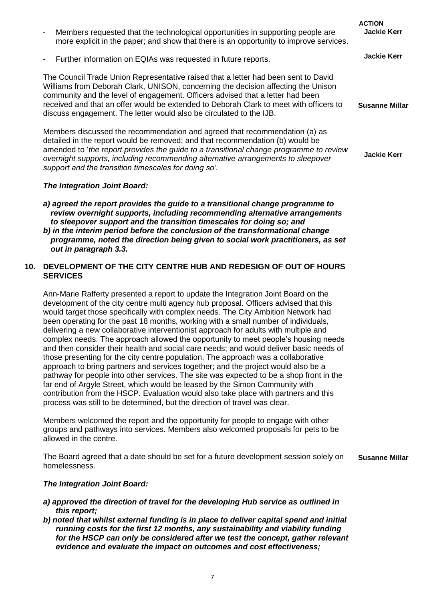|     |                                                                                                                                                                                                                                                                                                                                                                                                                                                                                                                                                                                                                                                                                                                                                                                                                                                                                                                                                                                                                                                                                                                                                        | <b>ACTION</b>         |
|-----|--------------------------------------------------------------------------------------------------------------------------------------------------------------------------------------------------------------------------------------------------------------------------------------------------------------------------------------------------------------------------------------------------------------------------------------------------------------------------------------------------------------------------------------------------------------------------------------------------------------------------------------------------------------------------------------------------------------------------------------------------------------------------------------------------------------------------------------------------------------------------------------------------------------------------------------------------------------------------------------------------------------------------------------------------------------------------------------------------------------------------------------------------------|-----------------------|
|     | Members requested that the technological opportunities in supporting people are<br>more explicit in the paper; and show that there is an opportunity to improve services.                                                                                                                                                                                                                                                                                                                                                                                                                                                                                                                                                                                                                                                                                                                                                                                                                                                                                                                                                                              | <b>Jackie Kerr</b>    |
|     | Further information on EQIAs was requested in future reports.<br>$\overline{\phantom{a}}$                                                                                                                                                                                                                                                                                                                                                                                                                                                                                                                                                                                                                                                                                                                                                                                                                                                                                                                                                                                                                                                              | <b>Jackie Kerr</b>    |
|     | The Council Trade Union Representative raised that a letter had been sent to David<br>Williams from Deborah Clark, UNISON, concerning the decision affecting the Unison<br>community and the level of engagement. Officers advised that a letter had been<br>received and that an offer would be extended to Deborah Clark to meet with officers to<br>discuss engagement. The letter would also be circulated to the IJB.                                                                                                                                                                                                                                                                                                                                                                                                                                                                                                                                                                                                                                                                                                                             | <b>Susanne Millar</b> |
|     | Members discussed the recommendation and agreed that recommendation (a) as<br>detailed in the report would be removed; and that recommendation (b) would be<br>amended to 'the report provides the guide to a transitional change programme to review<br>overnight supports, including recommending alternative arrangements to sleepover<br>support and the transition timescales for doing so'.                                                                                                                                                                                                                                                                                                                                                                                                                                                                                                                                                                                                                                                                                                                                                      | <b>Jackie Kerr</b>    |
|     | The Integration Joint Board:                                                                                                                                                                                                                                                                                                                                                                                                                                                                                                                                                                                                                                                                                                                                                                                                                                                                                                                                                                                                                                                                                                                           |                       |
|     | a) agreed the report provides the guide to a transitional change programme to<br>review overnight supports, including recommending alternative arrangements<br>to sleepover support and the transition timescales for doing so; and<br>b) in the interim period before the conclusion of the transformational change<br>programme, noted the direction being given to social work practitioners, as set<br>out in paragraph 3.3.                                                                                                                                                                                                                                                                                                                                                                                                                                                                                                                                                                                                                                                                                                                       |                       |
| 10. | DEVELOPMENT OF THE CITY CENTRE HUB AND REDESIGN OF OUT OF HOURS<br><b>SERVICES</b>                                                                                                                                                                                                                                                                                                                                                                                                                                                                                                                                                                                                                                                                                                                                                                                                                                                                                                                                                                                                                                                                     |                       |
|     | Ann-Marie Rafferty presented a report to update the Integration Joint Board on the<br>development of the city centre multi agency hub proposal. Officers advised that this<br>would target those specifically with complex needs. The City Ambition Network had<br>been operating for the past 18 months, working with a small number of individuals,<br>delivering a new collaborative interventionist approach for adults with multiple and<br>complex needs. The approach allowed the opportunity to meet people's housing needs<br>and then consider their health and social care needs; and would deliver basic needs of<br>those presenting for the city centre population. The approach was a collaborative<br>approach to bring partners and services together; and the project would also be a<br>pathway for people into other services. The site was expected to be a shop front in the<br>far end of Argyle Street, which would be leased by the Simon Community with<br>contribution from the HSCP. Evaluation would also take place with partners and this<br>process was still to be determined, but the direction of travel was clear. |                       |
|     | Members welcomed the report and the opportunity for people to engage with other<br>groups and pathways into services. Members also welcomed proposals for pets to be<br>allowed in the centre.                                                                                                                                                                                                                                                                                                                                                                                                                                                                                                                                                                                                                                                                                                                                                                                                                                                                                                                                                         |                       |
|     | The Board agreed that a date should be set for a future development session solely on<br>homelessness.                                                                                                                                                                                                                                                                                                                                                                                                                                                                                                                                                                                                                                                                                                                                                                                                                                                                                                                                                                                                                                                 | <b>Susanne Millar</b> |
|     | <b>The Integration Joint Board:</b>                                                                                                                                                                                                                                                                                                                                                                                                                                                                                                                                                                                                                                                                                                                                                                                                                                                                                                                                                                                                                                                                                                                    |                       |
|     | a) approved the direction of travel for the developing Hub service as outlined in                                                                                                                                                                                                                                                                                                                                                                                                                                                                                                                                                                                                                                                                                                                                                                                                                                                                                                                                                                                                                                                                      |                       |
|     | this report;<br>b) noted that whilst external funding is in place to deliver capital spend and initial<br>running costs for the first 12 months, any sustainability and viability funding<br>for the HSCP can only be considered after we test the concept, gather relevant<br>evidence and evaluate the impact on outcomes and cost effectiveness;                                                                                                                                                                                                                                                                                                                                                                                                                                                                                                                                                                                                                                                                                                                                                                                                    |                       |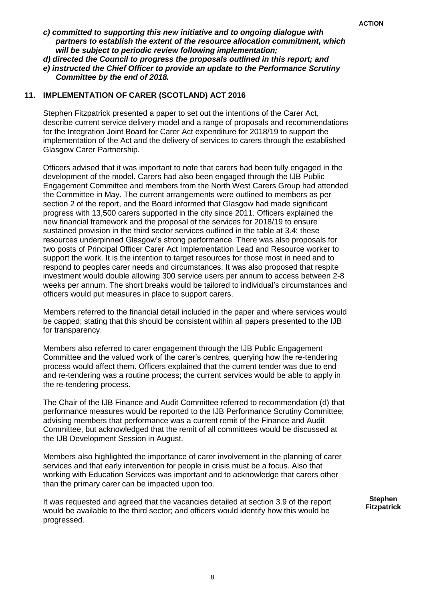- *c) committed to supporting this new initiative and to ongoing dialogue with partners to establish the extent of the resource allocation commitment, which will be subject to periodic review following implementation;*
- *d) directed the Council to progress the proposals outlined in this report; and*
- *e) instructed the Chief Officer to provide an update to the Performance Scrutiny Committee by the end of 2018.*

#### **11. IMPLEMENTATION OF CARER (SCOTLAND) ACT 2016**

Stephen Fitzpatrick presented a paper to set out the intentions of the Carer Act, describe current service delivery model and a range of proposals and recommendations for the Integration Joint Board for Carer Act expenditure for 2018/19 to support the implementation of the Act and the delivery of services to carers through the established Glasgow Carer Partnership.

Officers advised that it was important to note that carers had been fully engaged in the development of the model. Carers had also been engaged through the IJB Public Engagement Committee and members from the North West Carers Group had attended the Committee in May. The current arrangements were outlined to members as per section 2 of the report, and the Board informed that Glasgow had made significant progress with 13,500 carers supported in the city since 2011. Officers explained the new financial framework and the proposal of the services for 2018/19 to ensure sustained provision in the third sector services outlined in the table at 3.4; these resources underpinned Glasgow's strong performance. There was also proposals for two posts of Principal Officer Carer Act Implementation Lead and Resource worker to support the work. It is the intention to target resources for those most in need and to respond to peoples carer needs and circumstances. It was also proposed that respite investment would double allowing 300 service users per annum to access between 2-8 weeks per annum. The short breaks would be tailored to individual's circumstances and officers would put measures in place to support carers.

Members referred to the financial detail included in the paper and where services would be capped; stating that this should be consistent within all papers presented to the IJB for transparency.

Members also referred to carer engagement through the IJB Public Engagement Committee and the valued work of the carer's centres, querying how the re-tendering process would affect them. Officers explained that the current tender was due to end and re-tendering was a routine process; the current services would be able to apply in the re-tendering process.

The Chair of the IJB Finance and Audit Committee referred to recommendation (d) that performance measures would be reported to the IJB Performance Scrutiny Committee; advising members that performance was a current remit of the Finance and Audit Committee, but acknowledged that the remit of all committees would be discussed at the IJB Development Session in August.

Members also highlighted the importance of carer involvement in the planning of carer services and that early intervention for people in crisis must be a focus. Also that working with Education Services was important and to acknowledge that carers other than the primary carer can be impacted upon too.

It was requested and agreed that the vacancies detailed at section 3.9 of the report would be available to the third sector; and officers would identify how this would be progressed.

**Stephen Fitzpatrick**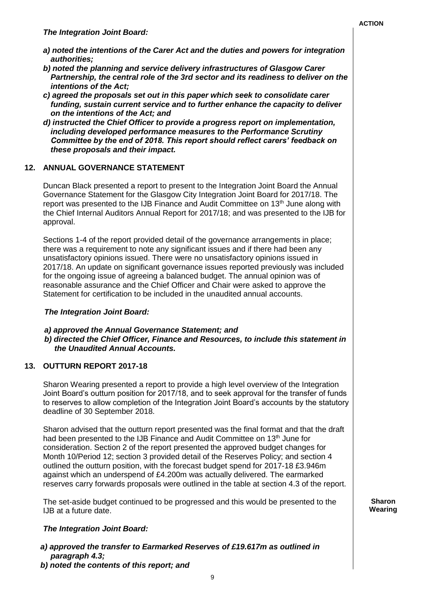**Sharon Wearing**

- *a) noted the intentions of the Carer Act and the duties and powers for integration authorities;*
- *b) noted the planning and service delivery infrastructures of Glasgow Carer Partnership, the central role of the 3rd sector and its readiness to deliver on the intentions of the Act;*
- *c) agreed the proposals set out in this paper which seek to consolidate carer funding, sustain current service and to further enhance the capacity to deliver on the intentions of the Act; and*
- *d) instructed the Chief Officer to provide a progress report on implementation, including developed performance measures to the Performance Scrutiny Committee by the end of 2018. This report should reflect carers' feedback on these proposals and their impact.*

## **12. ANNUAL GOVERNANCE STATEMENT**

Duncan Black presented a report to present to the Integration Joint Board the Annual Governance Statement for the Glasgow City Integration Joint Board for 2017/18. The report was presented to the IJB Finance and Audit Committee on  $13<sup>th</sup>$  June along with the Chief Internal Auditors Annual Report for 2017/18; and was presented to the IJB for approval.

Sections 1-4 of the report provided detail of the governance arrangements in place; there was a requirement to note any significant issues and if there had been any unsatisfactory opinions issued. There were no unsatisfactory opinions issued in 2017/18. An update on significant governance issues reported previously was included for the ongoing issue of agreeing a balanced budget. The annual opinion was of reasonable assurance and the Chief Officer and Chair were asked to approve the Statement for certification to be included in the unaudited annual accounts.

#### *The Integration Joint Board:*

#### *a) approved the Annual Governance Statement; and b) directed the Chief Officer, Finance and Resources, to include this statement in the Unaudited Annual Accounts.*

# **13. OUTTURN REPORT 2017-18**

Sharon Wearing presented a report to provide a high level overview of the Integration Joint Board's outturn position for 2017/18, and to seek approval for the transfer of funds to reserves to allow completion of the Integration Joint Board's accounts by the statutory deadline of 30 September 2018.

Sharon advised that the outturn report presented was the final format and that the draft had been presented to the IJB Finance and Audit Committee on 13<sup>th</sup> June for consideration. Section 2 of the report presented the approved budget changes for Month 10/Period 12; section 3 provided detail of the Reserves Policy; and section 4 outlined the outturn position, with the forecast budget spend for 2017-18 £3.946m against which an underspend of £4.200m was actually delivered. The earmarked reserves carry forwards proposals were outlined in the table at section 4.3 of the report.

The set-aside budget continued to be progressed and this would be presented to the IJB at a future date.

# *The Integration Joint Board:*

- *a) approved the transfer to Earmarked Reserves of £19.617m as outlined in paragraph 4.3;*
- *b) noted the contents of this report; and*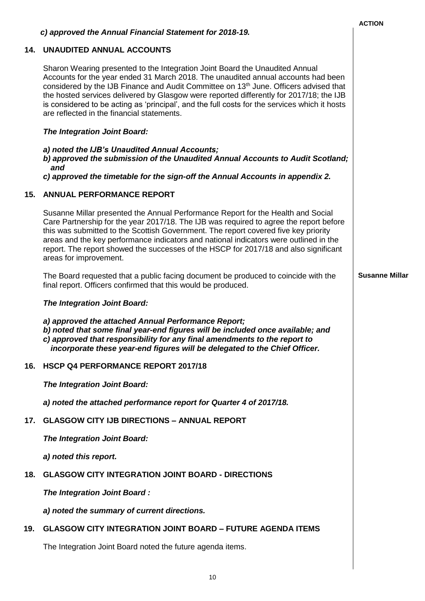|     |                                                                                                                                                                                                                                                                                                                                                                                                                                                                                                                  | <b>ACTION</b>         |
|-----|------------------------------------------------------------------------------------------------------------------------------------------------------------------------------------------------------------------------------------------------------------------------------------------------------------------------------------------------------------------------------------------------------------------------------------------------------------------------------------------------------------------|-----------------------|
|     | c) approved the Annual Financial Statement for 2018-19.                                                                                                                                                                                                                                                                                                                                                                                                                                                          |                       |
| 14. | <b>UNAUDITED ANNUAL ACCOUNTS</b>                                                                                                                                                                                                                                                                                                                                                                                                                                                                                 |                       |
|     | Sharon Wearing presented to the Integration Joint Board the Unaudited Annual<br>Accounts for the year ended 31 March 2018. The unaudited annual accounts had been<br>considered by the IJB Finance and Audit Committee on 13 <sup>th</sup> June. Officers advised that<br>the hosted services delivered by Glasgow were reported differently for 2017/18; the IJB<br>is considered to be acting as 'principal', and the full costs for the services which it hosts<br>are reflected in the financial statements. |                       |
|     | <b>The Integration Joint Board:</b>                                                                                                                                                                                                                                                                                                                                                                                                                                                                              |                       |
|     | a) noted the IJB's Unaudited Annual Accounts;<br>b) approved the submission of the Unaudited Annual Accounts to Audit Scotland;<br>and<br>c) approved the timetable for the sign-off the Annual Accounts in appendix 2.                                                                                                                                                                                                                                                                                          |                       |
| 15. | <b>ANNUAL PERFORMANCE REPORT</b>                                                                                                                                                                                                                                                                                                                                                                                                                                                                                 |                       |
|     |                                                                                                                                                                                                                                                                                                                                                                                                                                                                                                                  |                       |
|     | Susanne Millar presented the Annual Performance Report for the Health and Social<br>Care Partnership for the year 2017/18. The IJB was required to agree the report before<br>this was submitted to the Scottish Government. The report covered five key priority<br>areas and the key performance indicators and national indicators were outlined in the<br>report. The report showed the successes of the HSCP for 2017/18 and also significant<br>areas for improvement.                                     |                       |
|     | The Board requested that a public facing document be produced to coincide with the<br>final report. Officers confirmed that this would be produced.                                                                                                                                                                                                                                                                                                                                                              | <b>Susanne Millar</b> |
|     | <b>The Integration Joint Board:</b>                                                                                                                                                                                                                                                                                                                                                                                                                                                                              |                       |
|     | a) approved the attached Annual Performance Report;<br>b) noted that some final year-end figures will be included once available; and<br>c) approved that responsibility for any final amendments to the report to<br>incorporate these year-end figures will be delegated to the Chief Officer.                                                                                                                                                                                                                 |                       |
| 16. | HSCP Q4 PERFORMANCE REPORT 2017/18                                                                                                                                                                                                                                                                                                                                                                                                                                                                               |                       |
|     | <b>The Integration Joint Board:</b>                                                                                                                                                                                                                                                                                                                                                                                                                                                                              |                       |
|     | a) noted the attached performance report for Quarter 4 of 2017/18.                                                                                                                                                                                                                                                                                                                                                                                                                                               |                       |
| 17. | <b>GLASGOW CITY IJB DIRECTIONS - ANNUAL REPORT</b>                                                                                                                                                                                                                                                                                                                                                                                                                                                               |                       |
|     | The Integration Joint Board:                                                                                                                                                                                                                                                                                                                                                                                                                                                                                     |                       |
|     | a) noted this report.                                                                                                                                                                                                                                                                                                                                                                                                                                                                                            |                       |
| 18. | <b>GLASGOW CITY INTEGRATION JOINT BOARD - DIRECTIONS</b>                                                                                                                                                                                                                                                                                                                                                                                                                                                         |                       |
|     | The Integration Joint Board:                                                                                                                                                                                                                                                                                                                                                                                                                                                                                     |                       |
|     | a) noted the summary of current directions.                                                                                                                                                                                                                                                                                                                                                                                                                                                                      |                       |
| 19. | <b>GLASGOW CITY INTEGRATION JOINT BOARD - FUTURE AGENDA ITEMS</b>                                                                                                                                                                                                                                                                                                                                                                                                                                                |                       |
|     | The Integration Joint Board noted the future agenda items.                                                                                                                                                                                                                                                                                                                                                                                                                                                       |                       |
|     |                                                                                                                                                                                                                                                                                                                                                                                                                                                                                                                  |                       |